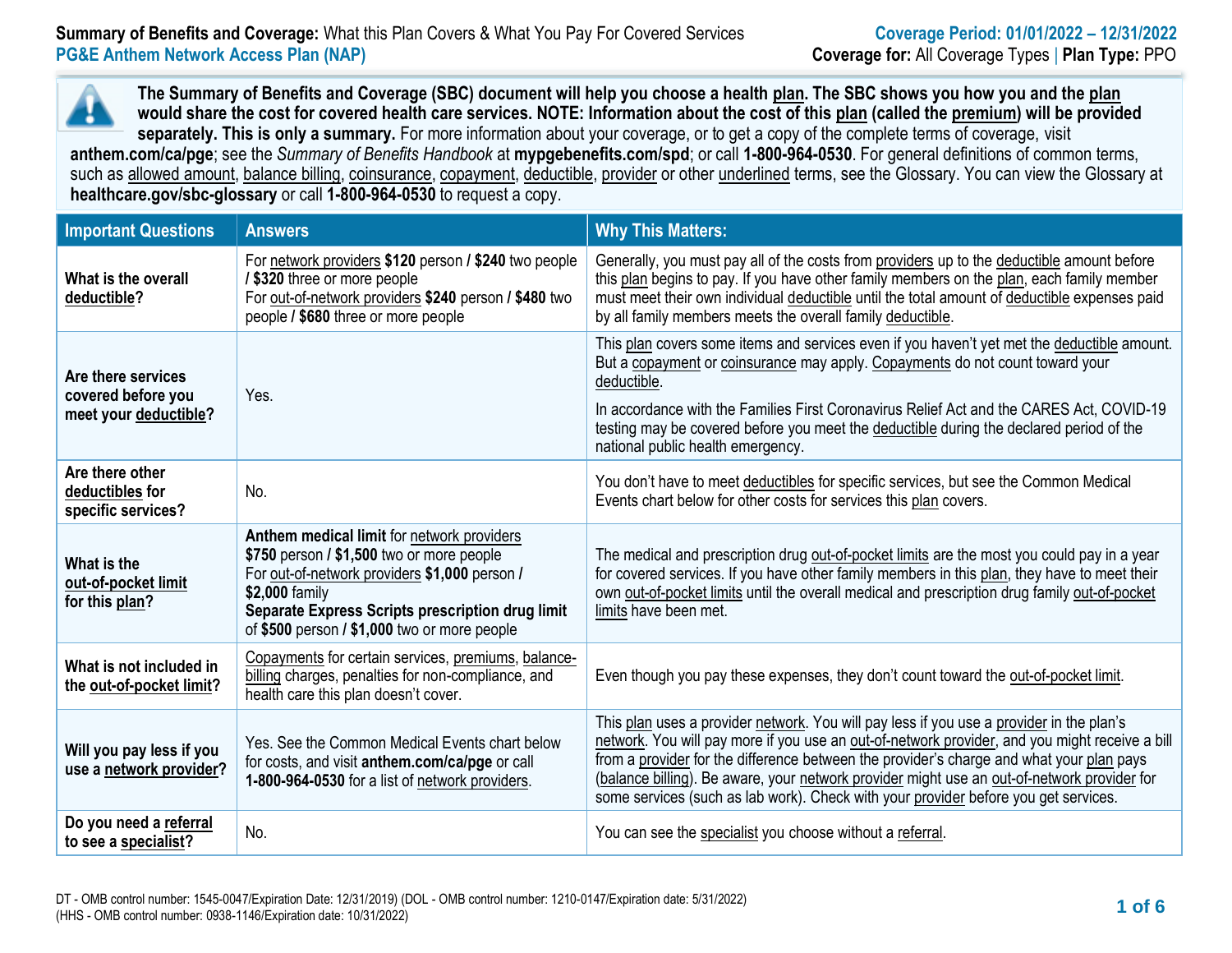**The Summary of Benefits and Coverage (SBC) document will help you choose a health plan. The SBC shows you how you and the plan would share the cost for covered health care services. NOTE: Information about the cost of this plan (called the premium) will be provided separately. This is only a summary.** For more information about your coverage, or to get a copy of the complete terms of coverage, visit **anthem.com/ca/pge**; see the *Summary of Benefits Handbook* at **mypgebenefits.com/spd**; or call **1-800-964-0530**. For general definitions of common terms, such as allowed amount, balance billing, coinsurance, copayment, deductible, provider or other underlined terms, see the Glossary. You can view the Glossary at **[healthcare.gov/sbc-glossary](https://www.healthcare.gov/sbc-glossary/)** or call **1-800-964-0530** to request a copy.

| <b>Important Questions</b>                                        | <b>Answers</b>                                                                                                                                                                                                                                                 | <b>Why This Matters:</b>                                                                                                                                                                                                                                                                                                                                                                                                                                                     |
|-------------------------------------------------------------------|----------------------------------------------------------------------------------------------------------------------------------------------------------------------------------------------------------------------------------------------------------------|------------------------------------------------------------------------------------------------------------------------------------------------------------------------------------------------------------------------------------------------------------------------------------------------------------------------------------------------------------------------------------------------------------------------------------------------------------------------------|
| What is the overall<br>deductible?                                | For network providers \$120 person / \$240 two people<br>/ \$320 three or more people<br>For out-of-network providers \$240 person / \$480 two<br>people / \$680 three or more people                                                                          | Generally, you must pay all of the costs from providers up to the deductible amount before<br>this plan begins to pay. If you have other family members on the plan, each family member<br>must meet their own individual deductible until the total amount of deductible expenses paid<br>by all family members meets the overall family deductible.                                                                                                                        |
| Are there services<br>covered before you<br>meet your deductible? | Yes.                                                                                                                                                                                                                                                           | This plan covers some items and services even if you haven't yet met the deductible amount.<br>But a copayment or coinsurance may apply. Copayments do not count toward your<br>deductible.<br>In accordance with the Families First Coronavirus Relief Act and the CARES Act, COVID-19<br>testing may be covered before you meet the deductible during the declared period of the<br>national public health emergency.                                                      |
| Are there other<br>deductibles for<br>specific services?          | No.                                                                                                                                                                                                                                                            | You don't have to meet deductibles for specific services, but see the Common Medical<br>Events chart below for other costs for services this plan covers.                                                                                                                                                                                                                                                                                                                    |
| What is the<br>out-of-pocket limit<br>for this plan?              | Anthem medical limit for network providers<br>\$750 person / \$1,500 two or more people<br>For out-of-network providers \$1,000 person /<br>\$2,000 family<br>Separate Express Scripts prescription drug limit<br>of \$500 person / \$1,000 two or more people | The medical and prescription drug out-of-pocket limits are the most you could pay in a year<br>for covered services. If you have other family members in this plan, they have to meet their<br>own out-of-pocket limits until the overall medical and prescription drug family out-of-pocket<br>limits have been met.                                                                                                                                                        |
| What is not included in<br>the out-of-pocket limit?               | Copayments for certain services, premiums, balance-<br>billing charges, penalties for non-compliance, and<br>health care this plan doesn't cover.                                                                                                              | Even though you pay these expenses, they don't count toward the out-of-pocket limit.                                                                                                                                                                                                                                                                                                                                                                                         |
| Will you pay less if you<br>use a network provider?               | Yes. See the Common Medical Events chart below<br>for costs, and visit anthem.com/ca/pge or call<br>1-800-964-0530 for a list of network providers.                                                                                                            | This plan uses a provider network. You will pay less if you use a provider in the plan's<br>network. You will pay more if you use an out-of-network provider, and you might receive a bill<br>from a provider for the difference between the provider's charge and what your plan pays<br>(balance billing). Be aware, your network provider might use an out-of-network provider for<br>some services (such as lab work). Check with your provider before you get services. |
| Do you need a referral<br>to see a specialist?                    | No.                                                                                                                                                                                                                                                            | You can see the specialist you choose without a referral.                                                                                                                                                                                                                                                                                                                                                                                                                    |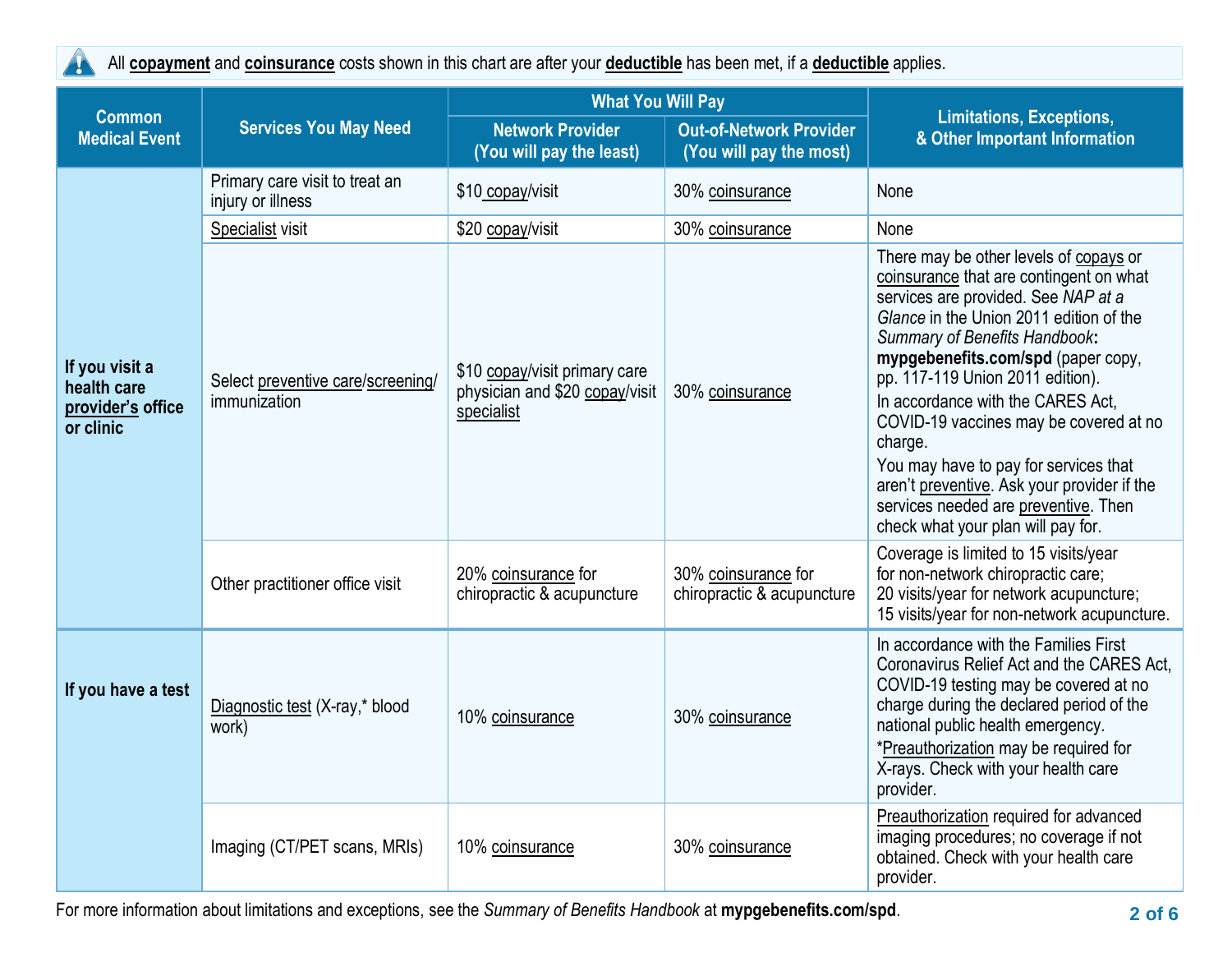A

All **copayment** and **coinsurance** costs shown in this chart are after your **deductible** has been met, if a **deductible** applies.

| <b>Medical Event</b>                                                                                   | <b>Services You May Need</b>                        | <b>Network Provider</b><br>(You will pay the least)                           | <b>What You Will Pay</b><br><b>Out-of-Network Provider</b><br>(You will pay the most)<br>None<br>30% coinsurance<br>None<br>30% coinsurance<br>30% coinsurance<br>charge.<br>30% coinsurance for<br>chiropractic & acupuncture<br>30% coinsurance<br>provider. | <b>Limitations, Exceptions,</b><br>& Other Important Information                                                                                                                                                                                                                                                                                                                                                                                                                                                                    |  |
|--------------------------------------------------------------------------------------------------------|-----------------------------------------------------|-------------------------------------------------------------------------------|----------------------------------------------------------------------------------------------------------------------------------------------------------------------------------------------------------------------------------------------------------------|-------------------------------------------------------------------------------------------------------------------------------------------------------------------------------------------------------------------------------------------------------------------------------------------------------------------------------------------------------------------------------------------------------------------------------------------------------------------------------------------------------------------------------------|--|
| <b>Common</b><br>If you visit a<br>health care<br>provider's office<br>or clinic<br>If you have a test | Primary care visit to treat an<br>injury or illness | \$10 copay/visit                                                              |                                                                                                                                                                                                                                                                |                                                                                                                                                                                                                                                                                                                                                                                                                                                                                                                                     |  |
|                                                                                                        | Specialist visit                                    | \$20 copay/visit                                                              |                                                                                                                                                                                                                                                                |                                                                                                                                                                                                                                                                                                                                                                                                                                                                                                                                     |  |
|                                                                                                        | Select preventive care/screening/<br>immunization   | \$10 copay/visit primary care<br>physician and \$20 copay/visit<br>specialist |                                                                                                                                                                                                                                                                | There may be other levels of copays or<br>coinsurance that are contingent on what<br>services are provided. See NAP at a<br>Glance in the Union 2011 edition of the<br>Summary of Benefits Handbook:<br>mypgebenefits.com/spd (paper copy,<br>pp. 117-119 Union 2011 edition).<br>In accordance with the CARES Act.<br>COVID-19 vaccines may be covered at no<br>You may have to pay for services that<br>aren't preventive. Ask your provider if the<br>services needed are preventive. Then<br>check what your plan will pay for. |  |
|                                                                                                        | Other practitioner office visit                     | 20% coinsurance for<br>chiropractic & acupuncture                             |                                                                                                                                                                                                                                                                | Coverage is limited to 15 visits/year<br>for non-network chiropractic care;<br>20 visits/year for network acupuncture;<br>15 visits/year for non-network acupuncture.                                                                                                                                                                                                                                                                                                                                                               |  |
|                                                                                                        | Diagnostic test (X-ray,* blood<br>work)             | 10% coinsurance                                                               |                                                                                                                                                                                                                                                                | In accordance with the Families First<br>Coronavirus Relief Act and the CARES Act.<br>COVID-19 testing may be covered at no<br>charge during the declared period of the<br>national public health emergency.<br>*Preauthorization may be required for<br>X-rays. Check with your health care                                                                                                                                                                                                                                        |  |
|                                                                                                        | Imaging (CT/PET scans, MRIs)                        | 10% coinsurance                                                               | 30% coinsurance                                                                                                                                                                                                                                                | Preauthorization required for advanced<br>imaging procedures; no coverage if not<br>obtained. Check with your health care<br>provider.                                                                                                                                                                                                                                                                                                                                                                                              |  |

For more information about limitations and exceptions, see the *Summary of Benefits Handbook* at **mypgebenefits.com/spd**. **2 of 6**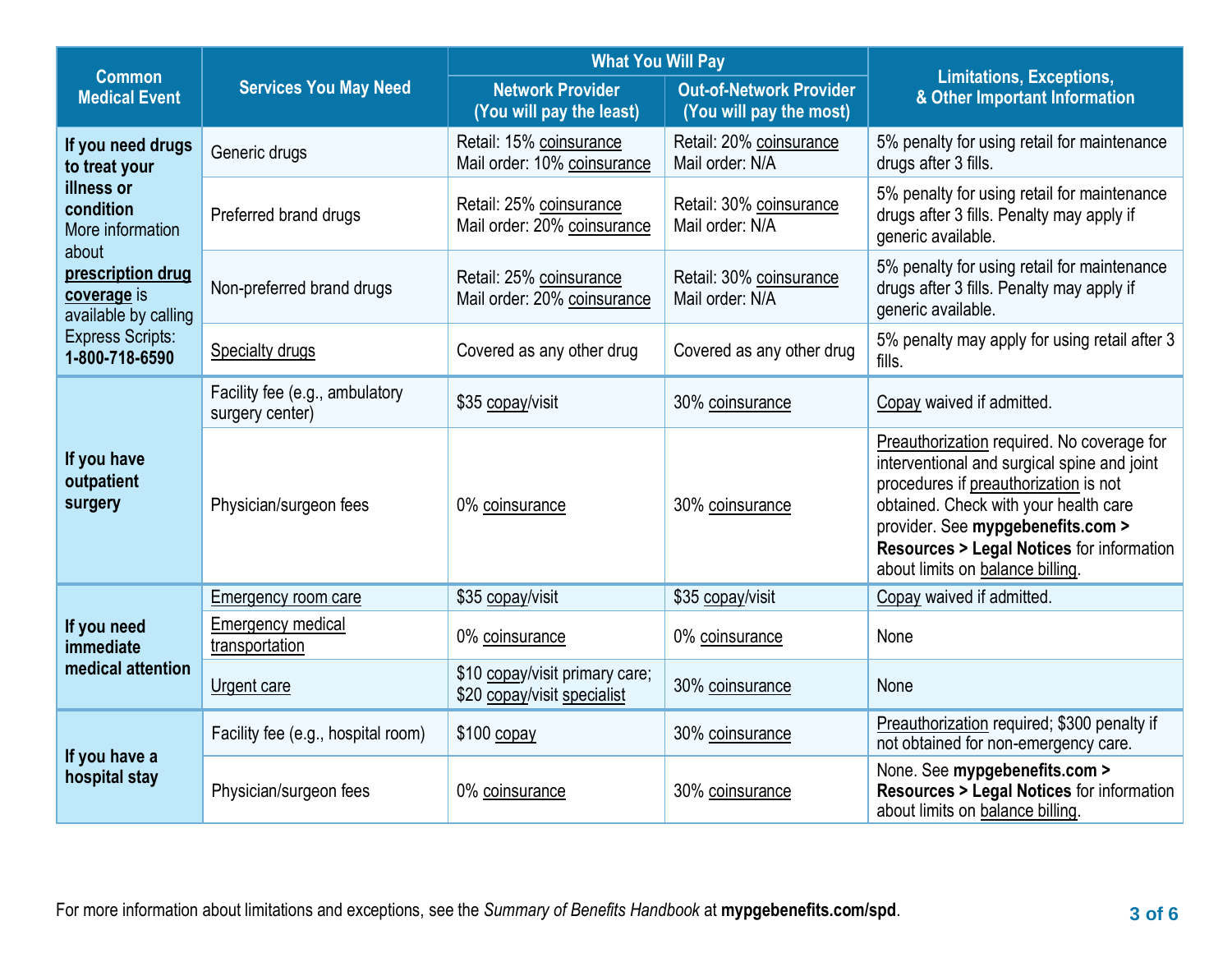|                                                                   |                                                   | <b>What You Will Pay</b>                                      |                                                           |                                                                                                                                                                                                                                                                                                             |  |
|-------------------------------------------------------------------|---------------------------------------------------|---------------------------------------------------------------|-----------------------------------------------------------|-------------------------------------------------------------------------------------------------------------------------------------------------------------------------------------------------------------------------------------------------------------------------------------------------------------|--|
| <b>Common</b><br><b>Medical Event</b>                             | <b>Services You May Need</b>                      | <b>Network Provider</b><br>(You will pay the least)           | <b>Out-of-Network Provider</b><br>(You will pay the most) | <b>Limitations, Exceptions,</b><br>& Other Important Information                                                                                                                                                                                                                                            |  |
| If you need drugs<br>to treat your                                | Generic drugs                                     | Retail: 15% coinsurance<br>Mail order: 10% coinsurance        | Retail: 20% coinsurance<br>Mail order: N/A                | 5% penalty for using retail for maintenance<br>drugs after 3 fills.                                                                                                                                                                                                                                         |  |
| illness or<br>condition<br>More information                       | Preferred brand drugs                             | Retail: 25% coinsurance<br>Mail order: 20% coinsurance        | Retail: 30% coinsurance<br>Mail order: N/A                | 5% penalty for using retail for maintenance<br>drugs after 3 fills. Penalty may apply if<br>generic available.                                                                                                                                                                                              |  |
| about<br>prescription drug<br>coverage is<br>available by calling | Non-preferred brand drugs                         | Retail: 25% coinsurance<br>Mail order: 20% coinsurance        | Retail: 30% coinsurance<br>Mail order: N/A                | 5% penalty for using retail for maintenance<br>drugs after 3 fills. Penalty may apply if<br>generic available.                                                                                                                                                                                              |  |
| <b>Express Scripts:</b><br>1-800-718-6590                         | <b>Specialty drugs</b>                            | Covered as any other drug                                     | Covered as any other drug                                 | 5% penalty may apply for using retail after 3<br>fills.                                                                                                                                                                                                                                                     |  |
| If you have<br>outpatient<br>surgery                              | Facility fee (e.g., ambulatory<br>surgery center) | \$35 copay/visit                                              | 30% coinsurance                                           | Copay waived if admitted.                                                                                                                                                                                                                                                                                   |  |
|                                                                   | Physician/surgeon fees                            | 0% coinsurance                                                | 30% coinsurance                                           | Preauthorization required. No coverage for<br>interventional and surgical spine and joint<br>procedures if preauthorization is not<br>obtained. Check with your health care<br>provider. See mypgebenefits.com ><br><b>Resources &gt; Legal Notices for information</b><br>about limits on balance billing. |  |
|                                                                   | <b>Emergency room care</b>                        | \$35 copay/visit                                              | \$35 copay/visit                                          | Copay waived if admitted.                                                                                                                                                                                                                                                                                   |  |
| If you need<br>immediate<br>medical attention                     | <b>Emergency medical</b><br>transportation        | 0% coinsurance                                                | 0% coinsurance                                            | None                                                                                                                                                                                                                                                                                                        |  |
|                                                                   | Urgent care                                       | \$10 copay/visit primary care;<br>\$20 copay/visit specialist | 30% coinsurance                                           | None                                                                                                                                                                                                                                                                                                        |  |
| If you have a<br>hospital stay                                    | Facility fee (e.g., hospital room)                | \$100 copay                                                   | 30% coinsurance                                           | Preauthorization required; \$300 penalty if<br>not obtained for non-emergency care.                                                                                                                                                                                                                         |  |
|                                                                   | Physician/surgeon fees                            | 0% coinsurance                                                | 30% coinsurance                                           | None. See mypgebenefits.com ><br><b>Resources &gt; Legal Notices for information</b><br>about limits on balance billing.                                                                                                                                                                                    |  |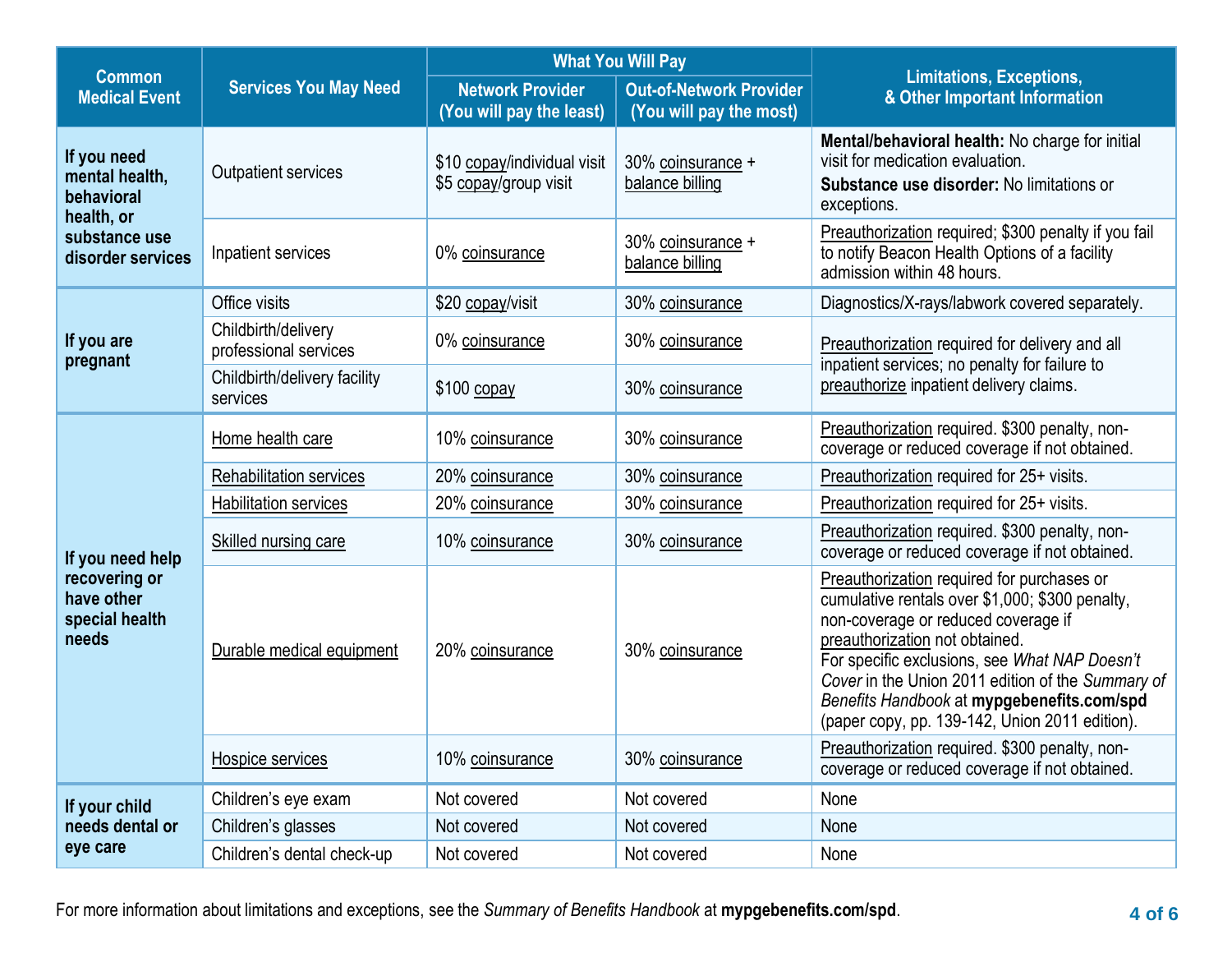|                                                                                          |                                              | <b>What You Will Pay</b>                             |                                                           |                                                                                                                                                                                                                                                                                                                                                                              |  |
|------------------------------------------------------------------------------------------|----------------------------------------------|------------------------------------------------------|-----------------------------------------------------------|------------------------------------------------------------------------------------------------------------------------------------------------------------------------------------------------------------------------------------------------------------------------------------------------------------------------------------------------------------------------------|--|
| <b>Common</b><br><b>Medical Event</b>                                                    | <b>Services You May Need</b>                 | <b>Network Provider</b><br>(You will pay the least)  | <b>Out-of-Network Provider</b><br>(You will pay the most) | <b>Limitations, Exceptions,</b><br>& Other Important Information                                                                                                                                                                                                                                                                                                             |  |
| If you need<br>mental health,<br>behavioral                                              | <b>Outpatient services</b>                   | \$10 copay/individual visit<br>\$5 copay/group visit | 30% coinsurance +<br>balance billing                      | Mental/behavioral health: No charge for initial<br>visit for medication evaluation.<br>Substance use disorder: No limitations or<br>exceptions.                                                                                                                                                                                                                              |  |
| substance use<br>disorder services                                                       | Inpatient services                           | 0% coinsurance                                       | 30% coinsurance +<br>balance billing                      | Preauthorization required; \$300 penalty if you fail<br>to notify Beacon Health Options of a facility<br>admission within 48 hours.                                                                                                                                                                                                                                          |  |
|                                                                                          | Office visits                                | \$20 copay/visit                                     | 30% coinsurance                                           | Diagnostics/X-rays/labwork covered separately.                                                                                                                                                                                                                                                                                                                               |  |
| If you are<br>pregnant                                                                   | Childbirth/delivery<br>professional services | 0% coinsurance                                       | 30% coinsurance                                           | Preauthorization required for delivery and all<br>inpatient services; no penalty for failure to<br>preauthorize inpatient delivery claims.                                                                                                                                                                                                                                   |  |
|                                                                                          | Childbirth/delivery facility<br>services     | $$100$ copay                                         | 30% coinsurance                                           |                                                                                                                                                                                                                                                                                                                                                                              |  |
| health, or<br>If you need help<br>recovering or<br>have other<br>special health<br>needs | Home health care                             | 10% coinsurance                                      | 30% coinsurance                                           | Preauthorization required. \$300 penalty, non-<br>coverage or reduced coverage if not obtained.                                                                                                                                                                                                                                                                              |  |
|                                                                                          | Rehabilitation services                      | 20% coinsurance                                      | 30% coinsurance                                           | Preauthorization required for 25+ visits.                                                                                                                                                                                                                                                                                                                                    |  |
|                                                                                          | <b>Habilitation services</b>                 | 20% coinsurance                                      | 30% coinsurance                                           | Preauthorization required for 25+ visits.                                                                                                                                                                                                                                                                                                                                    |  |
|                                                                                          | <b>Skilled nursing care</b>                  | 10% coinsurance                                      | 30% coinsurance                                           | Preauthorization required. \$300 penalty, non-<br>coverage or reduced coverage if not obtained.                                                                                                                                                                                                                                                                              |  |
|                                                                                          | Durable medical equipment                    | 20% coinsurance                                      | 30% coinsurance                                           | Preauthorization required for purchases or<br>cumulative rentals over \$1,000; \$300 penalty,<br>non-coverage or reduced coverage if<br>preauthorization not obtained.<br>For specific exclusions, see What NAP Doesn't<br>Cover in the Union 2011 edition of the Summary of<br>Benefits Handbook at mypgebenefits.com/spd<br>(paper copy, pp. 139-142, Union 2011 edition). |  |
|                                                                                          | Hospice services                             | 10% coinsurance                                      | 30% coinsurance                                           | Preauthorization required. \$300 penalty, non-<br>coverage or reduced coverage if not obtained.                                                                                                                                                                                                                                                                              |  |
| If your child                                                                            | Children's eye exam                          | Not covered                                          | Not covered                                               | None                                                                                                                                                                                                                                                                                                                                                                         |  |
| needs dental or<br>eye care                                                              | Children's glasses                           | Not covered                                          | Not covered                                               | None                                                                                                                                                                                                                                                                                                                                                                         |  |
|                                                                                          | Children's dental check-up                   | Not covered                                          | Not covered                                               | None                                                                                                                                                                                                                                                                                                                                                                         |  |

For more information about limitations and exceptions, see the *Summary of Benefits Handbook* at **mypgebenefits.com/spd**. **4 of 6**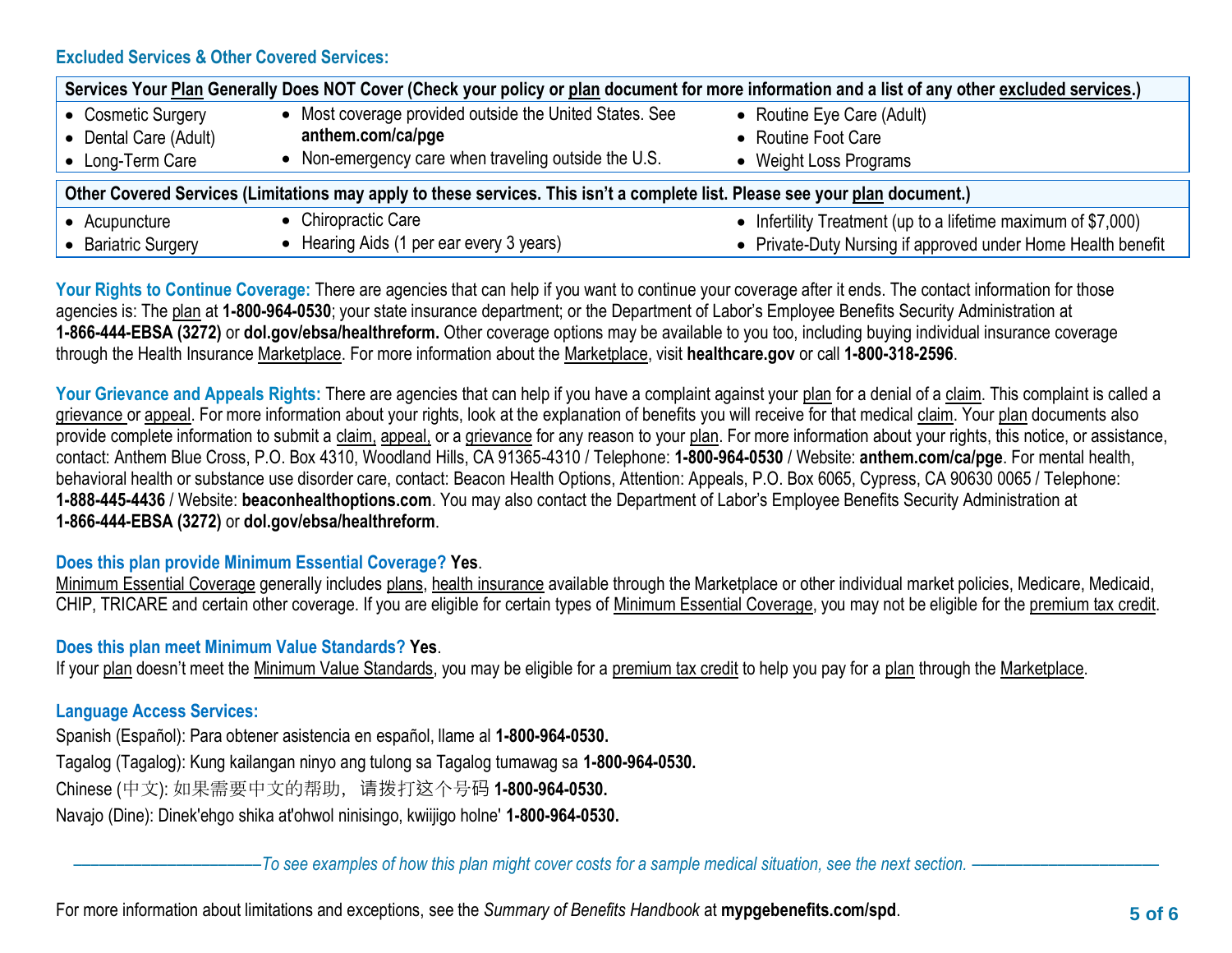## **Excluded Services & Other Covered Services:**

| Services Your Plan Generally Does NOT Cover (Check your policy or plan document for more information and a list of any other excluded services.) |                                                                              |                                                                                                                               |  |  |  |
|--------------------------------------------------------------------------------------------------------------------------------------------------|------------------------------------------------------------------------------|-------------------------------------------------------------------------------------------------------------------------------|--|--|--|
| • Cosmetic Surgery<br>• Dental Care (Adult)                                                                                                      | • Most coverage provided outside the United States. See<br>anthem.com/ca/pge | • Routine Eye Care (Adult)<br>• Routine Foot Care                                                                             |  |  |  |
| • Long-Term Care                                                                                                                                 | • Non-emergency care when traveling outside the U.S.                         | • Weight Loss Programs                                                                                                        |  |  |  |
| Other Covered Services (Limitations may apply to these services. This isn't a complete list. Please see your plan document.)                     |                                                                              |                                                                                                                               |  |  |  |
| • Acupuncture<br><b>Bariatric Surgery</b>                                                                                                        | • Chiropractic Care<br>• Hearing Aids (1 per ear every 3 years)              | • Infertility Treatment (up to a lifetime maximum of \$7,000)<br>• Private-Duty Nursing if approved under Home Health benefit |  |  |  |

Your Rights to Continue Coverage: There are agencies that can help if you want to continue your coverage after it ends. The contact information for those agencies is: The plan at **1-800-964-0530**; your state insurance department; or the Department of Labor's Employee Benefits Security Administration at **1-866-444-EBSA (3272)** or **[dol.gov/ebsa/healthreform.](http://www.dol.gov/ebsa/healthreform)** Other coverage options may be available to you too, including buying individual insurance coverage through the Health Insurance Marketplace. For more information about the Marketplace, visit **healthcare.gov** or call **1-800-318-2596**.

Your Grievance and Appeals Rights: There are agencies that can help if you have a complaint against your plan for a denial of a claim. This complaint is called a grievance or appeal. For more information about your rights, look at the explanation of benefits you will receive for that medical claim. Your plan documents also provide complete information to submit a claim, appeal, or a grievance for any reason to your plan. For more information about your rights, this notice, or assistance, contact: Anthem Blue Cross, P.O. Box 4310, Woodland Hills, CA 91365-4310 / Telephone: **1-800-964-0530** / Website: **[anthem.com/ca/pge](http://www.anthem.com/ca/pge)**. For mental health, behavioral health or substance use disorder care, contact: Beacon Health Options, Attention: Appeals, P.O. Box 6065, Cypress, CA 90630 0065 / Telephone: **1-888-445-4436** / Website: **beaconhealthoptions.com**. You may also contact the Department of Labor's Employee Benefits Security Administration at **1-866-444-EBSA (3272)** or **[dol.gov/ebsa/healthreform](http://www.dol.gov/ebsa/healthreform)**.

## **Does this plan provide Minimum Essential Coverage? Yes**.

Minimum Essential Coverage generally includes plans, health insurance available through the Marketplace or other individual market policies, Medicare, Medicaid, CHIP, TRICARE and certain other coverage. If you are eligible for certain types of Minimum Essential Coverage, you may not be eligible for the premium tax credit.

## **Does this plan meet Minimum Value Standards? Yes**.

If your plan doesn't meet the Minimum Value Standards, you may be eligible for a premium tax credit to help you pay for a plan through the Marketplace.

## **Language Access Services:**

Spanish (Español): Para obtener asistencia en español, llame al **1-800-964-0530.**

Tagalog (Tagalog): Kung kailangan ninyo ang tulong sa Tagalog tumawag sa **1-800-964-0530.**

Chinese (中文): 如果需要中文的帮助,请拨打这个号码 **1-800-964-0530.**

Navajo (Dine): Dinek'ehgo shika at'ohwol ninisingo, kwiijigo holne' **1-800-964-0530.**

––––––––––––––––––––––*To see examples of how this plan might cover costs for a sample medical situation, see the next section.* ––––––––––––––––––––––

For more information about limitations and exceptions, see the *Summary of Benefits Handbook* at **mypgebenefits.com/spd**. **5 of 6**